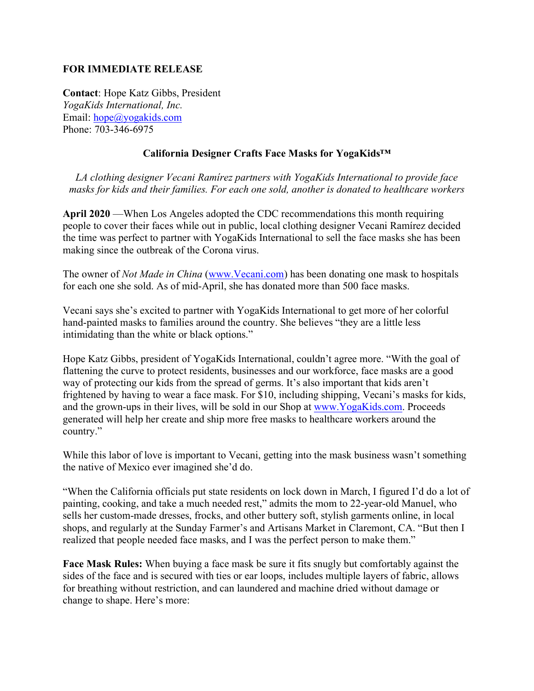## **FOR IMMEDIATE RELEASE**

**Contact**: Hope Katz Gibbs, President *YogaKids International, Inc.*  Email: [hope@yogakids.com](mailto:hope@yogakids.com) Phone: 703-346-6975

## **California Designer Crafts Face Masks for YogaKids™**

*LA clothing designer Vecani Ramírez partners with YogaKids International to provide face masks for kids and their families. For each one sold, another is donated to healthcare workers* 

**April 2020** —When Los Angeles adopted the CDC recommendations this month requiring people to cover their faces while out in public, local clothing designer Vecani Ramírez decided the time was perfect to partner with YogaKids International to sell the face masks she has been making since the outbreak of the Corona virus.

The owner of *Not Made in China* [\(www.Vecani.com\)](http://www.vecani.com/) has been donating one mask to hospitals for each one she sold. As of mid-April, she has donated more than 500 face masks.

Vecani says she's excited to partner with YogaKids International to get more of her colorful hand-painted masks to families around the country. She believes "they are a little less intimidating than the white or black options."

Hope Katz Gibbs, president of YogaKids International, couldn't agree more. "With the goal of flattening the curve to protect residents, businesses and our workforce, face masks are a good way of protecting our kids from the spread of germs. It's also important that kids aren't frightened by having to wear a face mask. For \$10, including shipping, Vecani's masks for kids, and the grown-ups in their lives, will be sold in our Shop at [www.YogaKids.com.](http://www.yogakids.com/) Proceeds generated will help her create and ship more free masks to healthcare workers around the country."

While this labor of love is important to Vecani, getting into the mask business wasn't something the native of Mexico ever imagined she'd do.

"When the California officials put state residents on lock down in March, I figured I'd do a lot of painting, cooking, and take a much needed rest," admits the mom to 22-year-old Manuel, who sells her custom-made dresses, frocks, and other buttery soft, stylish garments online, in local shops, and regularly at the Sunday Farmer's and Artisans Market in Claremont, CA. "But then I realized that people needed face masks, and I was the perfect person to make them."

**Face Mask Rules:** When buying a face mask be sure it fits snugly but comfortably against the sides of the face and is secured with ties or ear loops, includes multiple layers of fabric, allows for breathing without restriction, and can laundered and machine dried without damage or change to shape. Here's more: